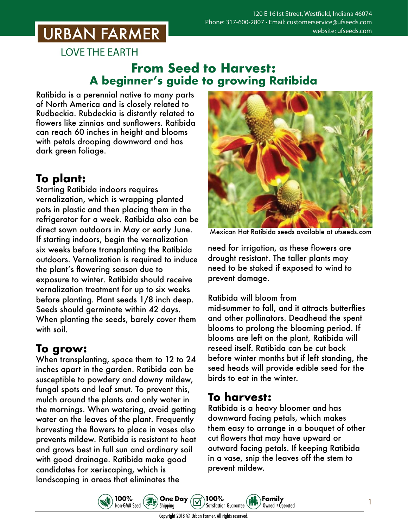# **URBAN FARMER**

**LOVE THE EARTH** 

## **From Seed to Harvest: A beginner's guide to growing Ratibida**

Ratibida is a perennial native to many parts of North America and is closely related to Rudbeckia. Rubdeckia is distantly related to flowers like zinnias and sunflowers. Ratibida can reach 60 inches in height and blooms with petals drooping downward and has dark green foliage.

# **To plant:**

Starting Ratibida indoors requires vernalization, which is wrapping planted pots in plastic and then placing them in the refrigerator for a week. Ratibida also can be direct sown outdoors in May or early June. If starting indoors, begin the vernalization six weeks before transplanting the Ratibida outdoors. Vernalization is required to induce the plant's flowering season due to exposure to winter. Ratibida should receive vernalization treatment for up to six weeks before planting. Plant seeds 1/8 inch deep. Seeds should germinate within 42 days. When planting the seeds, barely cover them with soil.

# **To grow:**

When transplanting, space them to 12 to 24 inches apart in the garden. Ratibida can be susceptible to powdery and downy mildew, fungal spots and leaf smut. To prevent this, mulch around the plants and only water in the mornings. When watering, avoid getting water on the leaves of the plant. Frequently harvesting the flowers to place in vases also prevents mildew. Ratibida is resistant to heat and grows best in full sun and ordinary soil with good drainage. Ratibida make good candidates for xeriscaping, which is landscaping in areas that eliminates the

100%



Mexican Hat Ratibida seeds [available at ufseeds.com](https://www.ufseeds.com/product-category/flowers/ratibida/)

need for irrigation, as these flowers are drought resistant. The taller plants may need to be staked if exposed to wind to prevent damage.

#### Ratibida will bloom from

mid-summer to fall, and it attracts butterflies and other pollinators. Deadhead the spent blooms to prolong the blooming period. If blooms are left on the plant, Ratibida will reseed itself. Ratibida can be cut back before winter months but if left standing, the seed heads will provide edible seed for the birds to eat in the winter.

### **To harvest:**

Ratibida is a heavy bloomer and has downward facing petals, which makes them easy to arrange in a bouquet of other cut flowers that may have upward or outward facing petals. If keeping Ratibida in a vase, snip the leaves off the stem to prevent mildew.

Family

Owned +Operated

 $\left(\frac{1}{6}\right)$ Non-GMO Seed Shipping **Satisfaction Guarantee** Copyright 2018 © Urban Farmer. All rights reserved.

100%

**One Day**